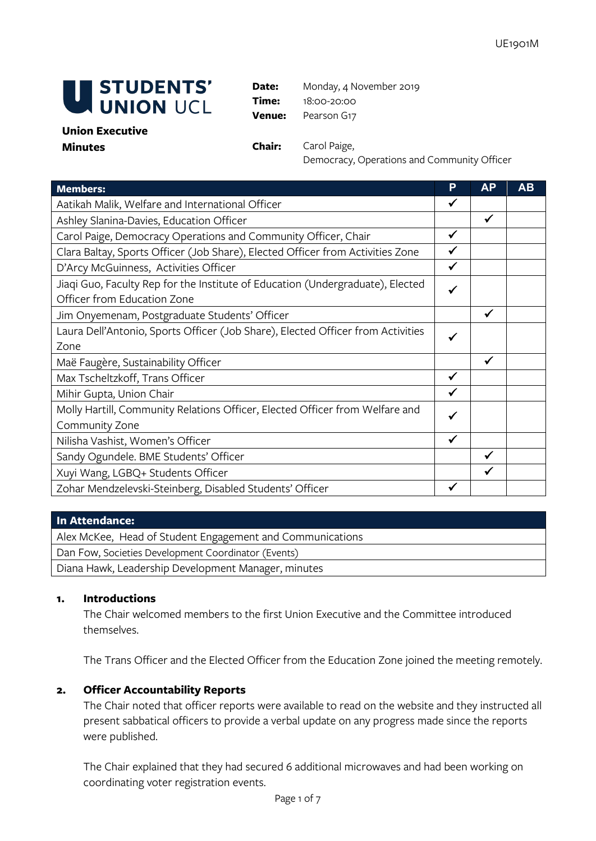

**Date:** Monday, 4 November 2019 **Time:** 18:00-20:00 **Venue:** Pearson G17

#### **Union Executive Minutes Chair:** Carol Paige,

Democracy, Operations and Community Officer

| <b>Members:</b>                                                                                               | P            | <b>AP</b>    | AB |
|---------------------------------------------------------------------------------------------------------------|--------------|--------------|----|
| Aatikah Malik, Welfare and International Officer                                                              | ✓            |              |    |
| Ashley Slanina-Davies, Education Officer                                                                      |              | $\checkmark$ |    |
| Carol Paige, Democracy Operations and Community Officer, Chair                                                | ✓            |              |    |
| Clara Baltay, Sports Officer (Job Share), Elected Officer from Activities Zone                                | ✓            |              |    |
| D'Arcy McGuinness, Activities Officer                                                                         | $\checkmark$ |              |    |
| Jiaqi Guo, Faculty Rep for the Institute of Education (Undergraduate), Elected<br>Officer from Education Zone |              |              |    |
| Jim Onyemenam, Postgraduate Students' Officer                                                                 |              | ✓            |    |
| Laura Dell'Antonio, Sports Officer (Job Share), Elected Officer from Activities<br>Zone                       |              |              |    |
| Maë Faugère, Sustainability Officer                                                                           |              | $\checkmark$ |    |
| Max Tscheltzkoff, Trans Officer                                                                               | $\checkmark$ |              |    |
| Mihir Gupta, Union Chair                                                                                      |              |              |    |
| Molly Hartill, Community Relations Officer, Elected Officer from Welfare and                                  |              |              |    |
| Community Zone                                                                                                |              |              |    |
| Nilisha Vashist, Women's Officer                                                                              | ✓            |              |    |
| Sandy Ogundele. BME Students' Officer                                                                         |              | ✓            |    |
| Xuyi Wang, LGBQ+ Students Officer                                                                             |              | ✔            |    |
| Zohar Mendzelevski-Steinberg, Disabled Students' Officer                                                      |              |              |    |

#### **In Attendance:**

Alex McKee, Head of Student Engagement and Communications Dan Fow, Societies Development Coordinator (Events) Diana Hawk, Leadership Development Manager, minutes

## **1. Introductions**

The Chair welcomed members to the first Union Executive and the Committee introduced themselves.

The Trans Officer and the Elected Officer from the Education Zone joined the meeting remotely.

## **2. Officer Accountability Reports**

The Chair noted that officer reports were available to read on the website and they instructed all present sabbatical officers to provide a verbal update on any progress made since the reports were published.

The Chair explained that they had secured 6 additional microwaves and had been working on coordinating voter registration events.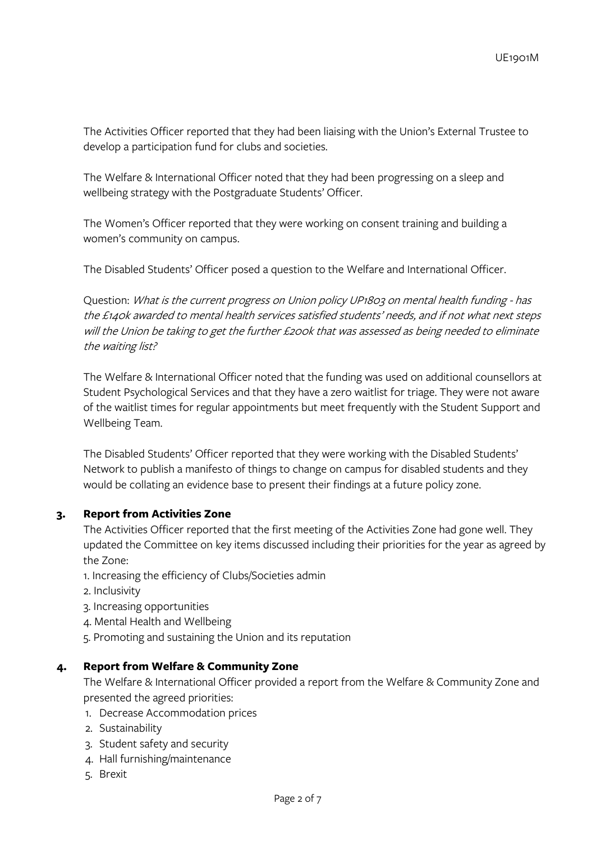The Activities Officer reported that they had been liaising with the Union's External Trustee to develop a participation fund for clubs and societies.

The Welfare & International Officer noted that they had been progressing on a sleep and wellbeing strategy with the Postgraduate Students' Officer.

The Women's Officer reported that they were working on consent training and building a women's community on campus.

The Disabled Students' Officer posed a question to the Welfare and International Officer.

Question: What is the current progress on Union policy UP1803 on mental health funding - has the £140k awarded to mental health services satisfied students' needs, and if not what next steps will the Union be taking to get the further £200k that was assessed as being needed to eliminate the waiting list?

The Welfare & International Officer noted that the funding was used on additional counsellors at Student Psychological Services and that they have a zero waitlist for triage. They were not aware of the waitlist times for regular appointments but meet frequently with the Student Support and Wellbeing Team.

The Disabled Students' Officer reported that they were working with the Disabled Students' Network to publish a manifesto of things to change on campus for disabled students and they would be collating an evidence base to present their findings at a future policy zone.

# **3. Report from Activities Zone**

The Activities Officer reported that the first meeting of the Activities Zone had gone well. They updated the Committee on key items discussed including their priorities for the year as agreed by the Zone:

1. Increasing the efficiency of Clubs/Societies admin

- 2. Inclusivity
- 3. Increasing opportunities
- 4. Mental Health and Wellbeing
- 5. Promoting and sustaining the Union and its reputation

## **4. Report from Welfare & Community Zone**

The Welfare & International Officer provided a report from the Welfare & Community Zone and presented the agreed priorities:

- 1. Decrease Accommodation prices
- 2. Sustainability
- 3. Student safety and security
- 4. Hall furnishing/maintenance
- 5. Brexit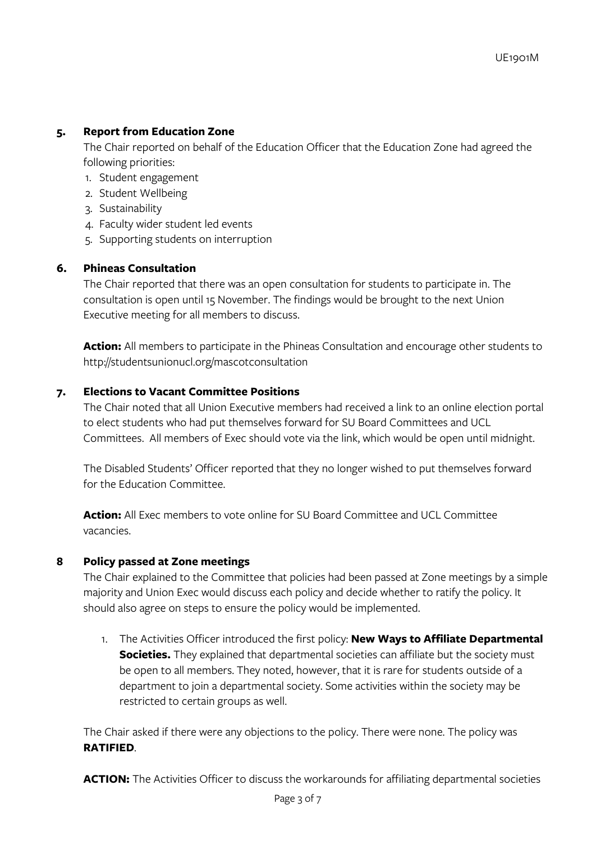# **5. Report from Education Zone**

The Chair reported on behalf of the Education Officer that the Education Zone had agreed the following priorities:

- 1. Student engagement
- 2. Student Wellbeing
- 3. Sustainability
- 4. Faculty wider student led events
- 5. Supporting students on interruption

## **6. Phineas Consultation**

The Chair reported that there was an open consultation for students to participate in. The consultation is open until 15 November. The findings would be brought to the next Union Executive meeting for all members to discuss.

**Action:** All members to participate in the Phineas Consultation and encourage other students to http://studentsunionucl.org/mascotconsultation

# **7. Elections to Vacant Committee Positions**

The Chair noted that all Union Executive members had received a link to an online election portal to elect students who had put themselves forward for SU Board Committees and UCL Committees. All members of Exec should vote via the link, which would be open until midnight.

The Disabled Students' Officer reported that they no longer wished to put themselves forward for the Education Committee.

**Action:** All Exec members to vote online for SU Board Committee and UCL Committee vacancies.

## **8 Policy passed at Zone meetings**

The Chair explained to the Committee that policies had been passed at Zone meetings by a simple majority and Union Exec would discuss each policy and decide whether to ratify the policy. It should also agree on steps to ensure the policy would be implemented.

1. The Activities Officer introduced the first policy: **New Ways to Affiliate Departmental Societies.** They explained that departmental societies can affiliate but the society must be open to all members. They noted, however, that it is rare for students outside of a department to join a departmental society. Some activities within the society may be restricted to certain groups as well.

The Chair asked if there were any objections to the policy. There were none. The policy was **RATIFIED**.

**ACTION:** The Activities Officer to discuss the workarounds for affiliating departmental societies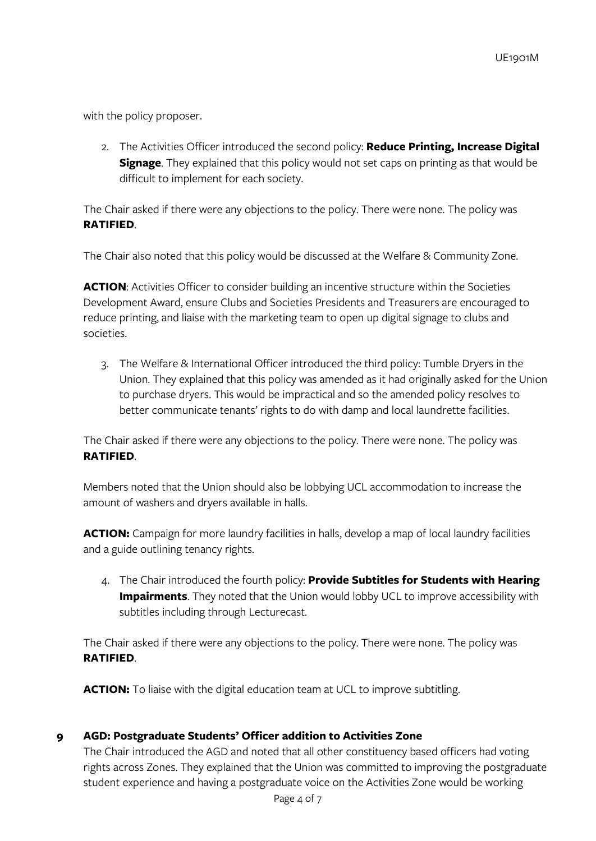with the policy proposer.

2. The Activities Officer introduced the second policy: **Reduce Printing, Increase Digital Signage**. They explained that this policy would not set caps on printing as that would be difficult to implement for each society.

The Chair asked if there were any objections to the policy. There were none. The policy was **RATIFIED**.

The Chair also noted that this policy would be discussed at the Welfare & Community Zone.

**ACTION:** Activities Officer to consider building an incentive structure within the Societies Development Award, ensure Clubs and Societies Presidents and Treasurers are encouraged to reduce printing, and liaise with the marketing team to open up digital signage to clubs and societies.

3. The Welfare & International Officer introduced the third policy: Tumble Dryers in the Union. They explained that this policy was amended as it had originally asked for the Union to purchase dryers. This would be impractical and so the amended policy resolves to better communicate tenants' rights to do with damp and local laundrette facilities.

The Chair asked if there were any objections to the policy. There were none. The policy was **RATIFIED**.

Members noted that the Union should also be lobbying UCL accommodation to increase the amount of washers and dryers available in halls.

**ACTION:** Campaign for more laundry facilities in halls, develop a map of local laundry facilities and a guide outlining tenancy rights.

4. The Chair introduced the fourth policy: **Provide Subtitles for Students with Hearing Impairments**. They noted that the Union would lobby UCL to improve accessibility with subtitles including through Lecturecast.

The Chair asked if there were any objections to the policy. There were none. The policy was **RATIFIED**.

**ACTION:** To liaise with the digital education team at UCL to improve subtitling.

## **9 AGD: Postgraduate Students' Officer addition to Activities Zone**

The Chair introduced the AGD and noted that all other constituency based officers had voting rights across Zones. They explained that the Union was committed to improving the postgraduate student experience and having a postgraduate voice on the Activities Zone would be working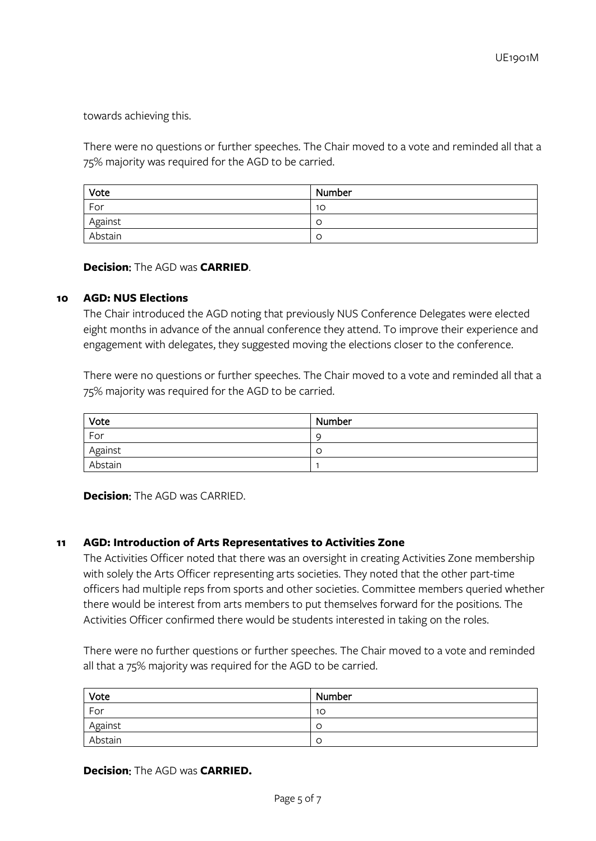towards achieving this.

There were no questions or further speeches. The Chair moved to a vote and reminded all that a 75% majority was required for the AGD to be carried.

| Vote    | Number |
|---------|--------|
| For     | 10     |
| Against | C      |
| Abstain | C      |

**Decision**: The AGD was **CARRIED**.

#### **10 AGD: NUS Elections**

The Chair introduced the AGD noting that previously NUS Conference Delegates were elected eight months in advance of the annual conference they attend. To improve their experience and engagement with delegates, they suggested moving the elections closer to the conference.

There were no questions or further speeches. The Chair moved to a vote and reminded all that a 75% majority was required for the AGD to be carried.

| Vote    | Number |
|---------|--------|
| For     | C      |
| Against | C      |
| Abstain |        |

**Decision**: The AGD was CARRIED.

## **11 AGD: Introduction of Arts Representatives to Activities Zone**

The Activities Officer noted that there was an oversight in creating Activities Zone membership with solely the Arts Officer representing arts societies. They noted that the other part-time officers had multiple reps from sports and other societies. Committee members queried whether there would be interest from arts members to put themselves forward for the positions. The Activities Officer confirmed there would be students interested in taking on the roles.

There were no further questions or further speeches. The Chair moved to a vote and reminded all that a 75% majority was required for the AGD to be carried.

| Vote    | Number |
|---------|--------|
| For     | 10     |
| Against |        |
| Abstain |        |

#### **Decision**: The AGD was **CARRIED.**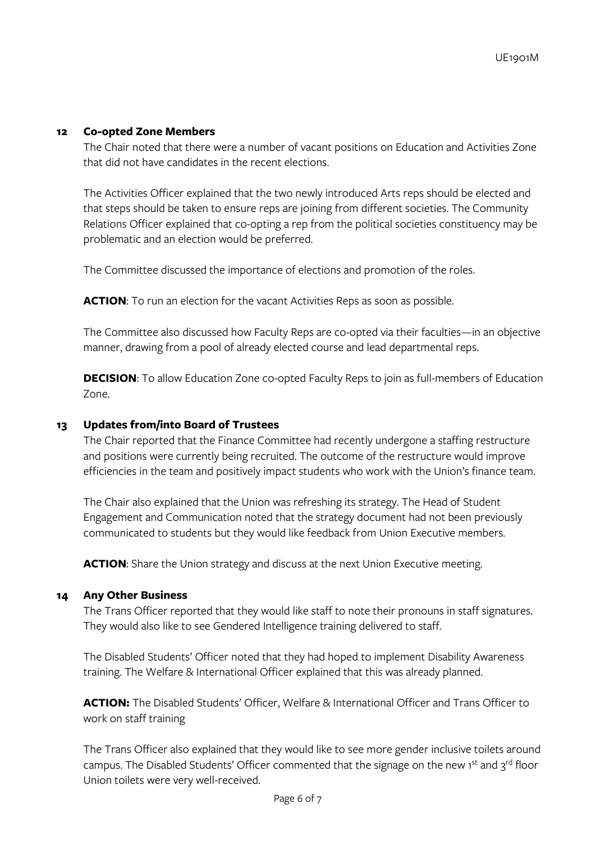#### **12 Co-opted Zone Members**

The Chair noted that there were a number of vacant positions on Education and Activities Zone that did not have candidates in the recent elections.

The Activities Officer explained that the two newly introduced Arts reps should be elected and that steps should be taken to ensure reps are joining from different societies. The Community Relations Officer explained that co-opting a rep from the political societies constituency may be problematic and an election would be preferred.

The Committee discussed the importance of elections and promotion of the roles.

**ACTION:** To run an election for the vacant Activities Reps as soon as possible.

The Committee also discussed how Faculty Reps are co-opted via their faculties—in an objective manner, drawing from a pool of already elected course and lead departmental reps.

**DECISION:** To allow Education Zone co-opted Faculty Reps to join as full-members of Education Zone.

#### **13 Updates from/into Board of Trustees**

The Chair reported that the Finance Committee had recently undergone a staffing restructure and positions were currently being recruited. The outcome of the restructure would improve efficiencies in the team and positively impact students who work with the Union's finance team.

The Chair also explained that the Union was refreshing its strategy. The Head of Student Engagement and Communication noted that the strategy document had not been previously communicated to students but they would like feedback from Union Executive members.

**ACTION:** Share the Union strategy and discuss at the next Union Executive meeting.

#### **14 Any Other Business**

The Trans Officer reported that they would like staff to note their pronouns in staff signatures. They would also like to see Gendered Intelligence training delivered to staff.

The Disabled Students' Officer noted that they had hoped to implement Disability Awareness training. The Welfare & International Officer explained that this was already planned.

**ACTION:** The Disabled Students' Officer, Welfare & International Officer and Trans Officer to work on staff training

The Trans Officer also explained that they would like to see more gender inclusive toilets around campus. The Disabled Students' Officer commented that the signage on the new 1st and 3rd floor Union toilets were very well-received.